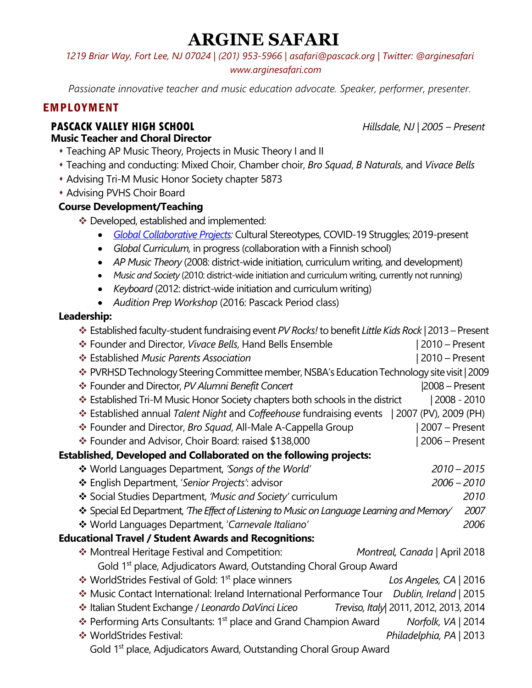# **ARGINE SAFARI**

*1219 Briar Way, Fort Lee, NJ 07024 | (201) 953-5966 | asafari@pascack.org | Twitter: @arginesafari www.arginesafari.com* 

*Passionate innovative teacher and music education advocate. Speaker, performer, presenter.*

## EMPLOYMENT

#### **PASCACK VALLEY HIGH SCHOOL** *Hillsdale, NJ* | *2005 – Present* **Music Teacher and Choral Director**

- **\* Teaching AP Music Theory, Projects in Music Theory I and II**
- s Teaching and conducting: Mixed Choir, Chamber choir, *Bro Squad*, *B Naturals*, and *Vivace Bells*
- \* Advising Tri-M Music Honor Society chapter 5873
- **\* Advising PVHS Choir Board**

### **Course Development/Teaching**

- \* Developed, established and implemented:
	- *Global Collaborative Projects:* Cultural Stereotypes, COVID-19 Struggles; 2019-present
	- *Global Curriculum,* in progress (collaboration with a Finnish school)
	- *AP Music Theory* (2008: district-wide initiation, curriculum writing, and development)
	- *Music and Society* (2010: district-wide initiation and curriculum writing, currently not running)
	- *Keyboard* (2012: district-wide initiation and curriculum writing)
	- *Audition Prep Workshop* (2016: Pascack Period class)

#### **Leadership:**

| Established faculty-student fundraising event PV Rocks! to benefit Little Kids Rock   2013 - Present |                               |
|------------------------------------------------------------------------------------------------------|-------------------------------|
| * Founder and Director, Vivace Bells, Hand Bells Ensemble                                            | 2010 – Present                |
| ❖ Established Music Parents Association                                                              | 2010 - Present                |
| * PVRHSD Technology Steering Committee member, NSBA's Education Technology site visit   2009         |                               |
| * Founder and Director, PV Alumni Benefit Concert                                                    | $ 2008 -$ Present             |
| ❖ Established Tri-M Music Honor Society chapters both schools in the district                        | 2008 - 2010                   |
| * Established annual Talent Night and Coffeehouse fundraising events   2007 (PV), 2009 (PH)          |                               |
| * Founder and Director, Bro Squad, All-Male A-Cappella Group                                         | 2007 – Present                |
| ❖ Founder and Advisor, Choir Board: raised \$138,000                                                 | 2006 - Present                |
| Established, Developed and Collaborated on the following projects:                                   |                               |
| ❖ World Languages Department, 'Songs of the World'                                                   | $2010 - 2015$                 |
| ❖ English Department, 'Senior Projects': advisor                                                     | $2006 - 2010$                 |
| Social Studies Department, 'Music and Society' curriculum                                            | 2010                          |
| * Special Ed Department, 'The Effect of Listening to Music on Language Learning and Memory'          | 2007                          |
| * World Languages Department, 'Carnevale Italiano'                                                   | 2006                          |
| <b>Educational Travel / Student Awards and Recognitions:</b>                                         |                               |
| * Montreal Heritage Festival and Competition:                                                        | Montreal, Canada   April 2018 |
| Gold 1 <sup>st</sup> place, Adjudicators Award, Outstanding Choral Group Award                       |                               |
| ❖ WorldStrides Festival of Gold: 1 <sup>st</sup> place winners                                       | Los Angeles, CA   2016        |
| * Music Contact International: Ireland International Performance Tour Dublin, Ireland   2015         |                               |
| Treviso, Italy 2011, 2012, 2013, 2014<br>❖ Italian Student Exchange / Leonardo DaVinci Liceo         |                               |
| ❖ Performing Arts Consultants: 1 <sup>st</sup> place and Grand Champion Award                        | Norfolk, VA   2014            |
| ❖ WorldStrides Festival:                                                                             | Philadelphia, PA   2013       |
| Gold 1 <sup>st</sup> place, Adjudicators Award, Outstanding Choral Group Award                       |                               |
|                                                                                                      |                               |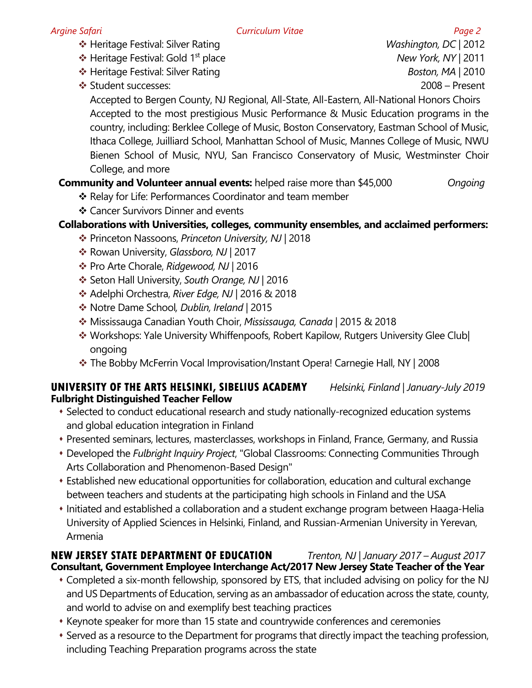v Heritage Festival: Silver Rating *Washington, DC* | 2012

v Heritage Festival: Gold 1st place *New York, NY* | 2011

- **<sup>◆</sup>** Heritage Festival: Silver Rating *Boston, MA* | 2010
- v Student successes: 2008 Present

Accepted to Bergen County, NJ Regional, All-State, All-Eastern, All-National Honors Choirs Accepted to the most prestigious Music Performance & Music Education programs in the country, including: Berklee College of Music, Boston Conservatory, Eastman School of Music, Ithaca College, Juilliard School, Manhattan School of Music, Mannes College of Music, NWU Bienen School of Music, NYU, San Francisco Conservatory of Music, Westminster Choir College, and more

## **Community and Volunteer annual events:** helped raise more than \$45,000 *Ongoing*

- ❖ Relay for Life: Performances Coordinator and team member
- ❖ Cancer Survivors Dinner and events

## **Collaborations with Universities, colleges, community ensembles, and acclaimed performers:**

- v Princeton Nassoons, *Princeton University, NJ* | 2018
- **Ex** Rowan University, *Glassboro, NJ* | 2017
- v Pro Arte Chorale, *Ridgewood, NJ* | 2016
- v Seton Hall University, *South Orange, NJ* | 2016
- v Adelphi Orchestra, *River Edge, NJ* | 2016 & 2018
- v Notre Dame School*, Dublin, Ireland* | 2015
- v Mississauga Canadian Youth Choir, *Mississauga, Canada* | 2015 & 2018
- \* Workshops: Yale University Whiffenpoofs, Robert Kapilow, Rutgers University Glee Club ongoing
- \* The Bobby McFerrin Vocal Improvisation/Instant Opera! Carnegie Hall, NY | 2008

#### **UNIVERSITY OF THE ARTS HELSINKI, SIBELIUS ACADEMY** *Helsinki, Finland | January-July 2019* **Fulbright Distinguished Teacher Fellow**

- \* Selected to conduct educational research and study nationally-recognized education systems and global education integration in Finland
- s Presented seminars, lectures, masterclasses, workshops in Finland, France, Germany, and Russia
- \* Developed the *Fulbright Inquiry Project*, "Global Classrooms: Connecting Communities Through Arts Collaboration and Phenomenon-Based Design"
- Established new educational opportunities for collaboration, education and cultural exchange between teachers and students at the participating high schools in Finland and the USA
- Initiated and established a collaboration and a student exchange program between Haaga-Helia University of Applied Sciences in Helsinki, Finland, and Russian-Armenian University in Yerevan, Armenia

#### **NEW JERSEY STATE DEPARTMENT OF EDUCATION** *Trenton, NJ* | *January 2017 – August 2017* **Consultant, Government Employee Interchange Act/2017 New Jersey State Teacher of the Year**

- Completed a six-month fellowship, sponsored by ETS, that included advising on policy for the NJ and US Departments of Education, serving as an ambassador of education across the state, county, and world to advise on and exemplify best teaching practices
- \* Keynote speaker for more than 15 state and countrywide conferences and ceremonies
- Served as a resource to the Department for programs that directly impact the teaching profession, including Teaching Preparation programs across the state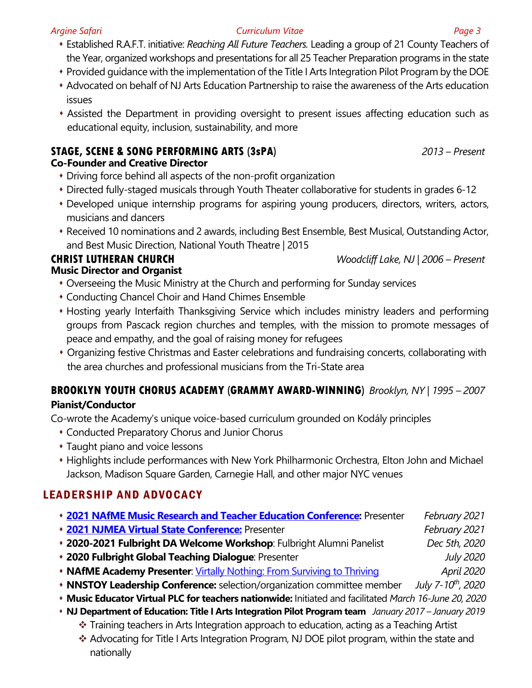- s Established R.A.F.T. initiative: *Reaching All Future Teachers.* Leading a group of 21 County Teachers of the Year, organized workshops and presentations for all 25 Teacher Preparation programs in the state
- \* Provided guidance with the implementation of the Title I Arts Integration Pilot Program by the DOE
- \* Advocated on behalf of NJ Arts Education Partnership to raise the awareness of the Arts education issues
- Assisted the Department in providing oversight to present issues affecting education such as educational equity, inclusion, sustainability, and more

## **STAGE, SCENE & SONG PERFORMING ARTS (3sPA)** *2013 – Present*

## **Co-Founder and Creative Director**

- Driving force behind all aspects of the non-profit organization
- Directed fully-staged musicals through Youth Theater collaborative for students in grades 6-12
- \* Developed unique internship programs for aspiring young producers, directors, writers, actors, musicians and dancers
- Received 10 nominations and 2 awards, including Best Ensemble, Best Musical, Outstanding Actor, and Best Music Direction, National Youth Theatre | 2015

#### **CHRIST LUTHERAN CHURCH** *Woodcliff Lake, NJ* | *2006 – Present* **Music Director and Organist**

- Overseeing the Music Ministry at the Church and performing for Sunday services
- Conducting Chancel Choir and Hand Chimes Ensemble
- Hosting yearly Interfaith Thanksgiving Service which includes ministry leaders and performing groups from Pascack region churches and temples, with the mission to promote messages of peace and empathy, and the goal of raising money for refugees
- Organizing festive Christmas and Easter celebrations and fundraising concerts, collaborating with the area churches and professional musicians from the Tri-State area

## **BROOKLYN YOUTH CHORUS ACADEMY (GRAMMY AWARD-WINNING)** *Brooklyn, NY* | *1995 – 2007* **Pianist/Conductor**

Co-wrote the Academy's unique voice-based curriculum grounded on Kodály principles

- Conducted Preparatory Chorus and Junior Chorus
- Taught piano and voice lessons
- Highlights include performances with New York Philharmonic Orchestra, Elton John and Michael Jackson, Madison Square Garden, Carnegie Hall, and other major NYC venues

## LEADERSHIP AND ADVOCACY

- s **2021 NAfME Music Research and Teacher Education Conference:** Presenter *February 2021*
- s **2021 NJMEA Virtual State Conference:** Presenter *February 2021*
- s **2020-2021 Fulbright DA Welcome Workshop**: Fulbright Alumni Panelist *Dec 5th, 2020*
- s **2020 Fulbright Global Teaching Dialogue**: Presenter *July 2020*
- **NAfME Academy Presenter**: Virtally Nothing: From Surviving to Thriving *April 2020*
- s **NNSTOY Leadership Conference:** selection/organization committee member *July 7-10th, 2020*
- s **Music Educator Virtual PLC for teachers nationwide:** Initiated and facilitated *March 16-June 20, 2020*
- s **NJ Department of Education: Title I Arts Integration Pilot Program team** *January 2017 – January 2019*
	- \* Training teachers in Arts Integration approach to education, acting as a Teaching Artist
	- \* Advocating for Title I Arts Integration Program, NJ DOE pilot program, within the state and nationally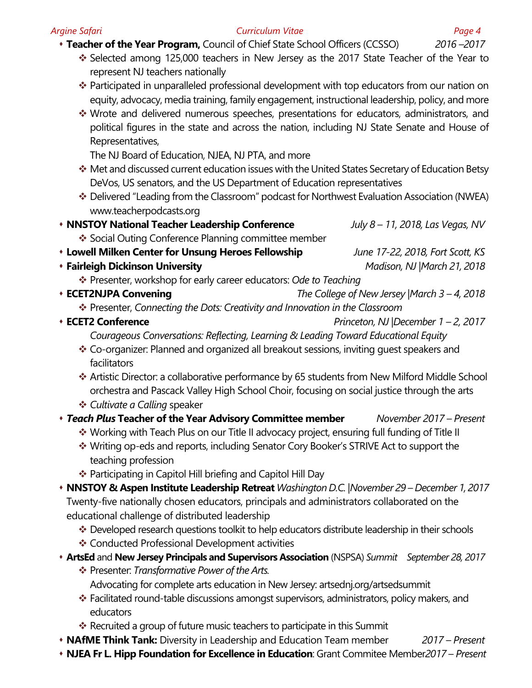#### *Argine Safari Curriculum Vitae Page 4*

s **Teacher of the Year Program,** Council of Chief State School Officers (CCSSO) *2016 –2017*

- \* Selected among 125,000 teachers in New Jersey as the 2017 State Teacher of the Year to represent NJ teachers nationally
- \* Participated in unparalleled professional development with top educators from our nation on equity, advocacy, media training, family engagement, instructional leadership, policy, and more
- \* Wrote and delivered numerous speeches, presentations for educators, administrators, and political figures in the state and across the nation, including NJ State Senate and House of Representatives,

The NJ Board of Education, NJEA, NJ PTA, and more

- \* Met and discussed current education issues with the United States Secretary of Education Betsy DeVos, US senators, and the US Department of Education representatives
- \* Delivered "Leading from the Classroom" podcast for Northwest Evaluation Association (NWEA) www.teacherpodcasts.org
- s **NNSTOY National Teacher Leadership Conference** *July 8 – 11, 2018, Las Vegas, NV*
	- ❖ Social Outing Conference Planning committee member
- s **Lowell Milken Center for Unsung Heroes Fellowship** *June 17-22, 2018, Fort Scott, KS*
- s **Fairleigh Dickinson University** *Madison, NJ* |*March 21, 2018*
	- **Example 2** Presenter, workshop for early career educators: Ode to Teaching
- s **ECET2NJPA Convening** *The College of New Jersey* |*March 3 – 4, 2018*
	- \* Presenter, *Connecting the Dots: Creativity and Innovation in the Classroom*
- s **ECET2 Conference** *Princeton, NJ* |*December 1 – 2, 2017*

*Courageous Conversations: Reflecting, Learning & Leading Toward Educational Equity*

- \* Co-organizer: Planned and organized all breakout sessions, inviting guest speakers and facilitators
- v Artistic Director: a collaborative performance by 65 students from New Milford Middle School orchestra and Pascack Valley High School Choir, focusing on social justice through the arts
- **Example** *a* **Calling** speaker
- s *Teach Plus* **Teacher of the Year Advisory Committee member** *November 2017 – Present*
	- \* Working with Teach Plus on our Title II advocacy project, ensuring full funding of Title II
	- **Ex** Writing op-eds and reports, including Senator Cory Booker's STRIVE Act to support the teaching profession
	- $\cdot$  Participating in Capitol Hill briefing and Capitol Hill Day
- s **NNSTOY & Aspen Institute Leadership Retreat** *Washington D.C.* |*November 29 – December 1, 2017* Twenty-five nationally chosen educators, principals and administrators collaborated on the educational challenge of distributed leadership
	- \* Developed research questions toolkit to help educators distribute leadership in their schools
	- ❖ Conducted Professional Development activities
- s **ArtsEd** and **New Jersey Principals and Supervisors Association** (NSPSA) *Summit September 28, 2017* 
	- v Presenter: *Transformative Power of the Arts.* Advocating for complete arts education in New Jersey: artsednj.org/artsedsummit
	- \* Facilitated round-table discussions amongst supervisors, administrators, policy makers, and educators
	- $\cdot$  Recruited a group of future music teachers to participate in this Summit
- s **NAfME Think Tank:** Diversity in Leadership and Education Team member *2017 – Present*
- s **NJEA Fr L. Hipp Foundation for Excellence in Education**: Grant Commitee Member*2017 – Present*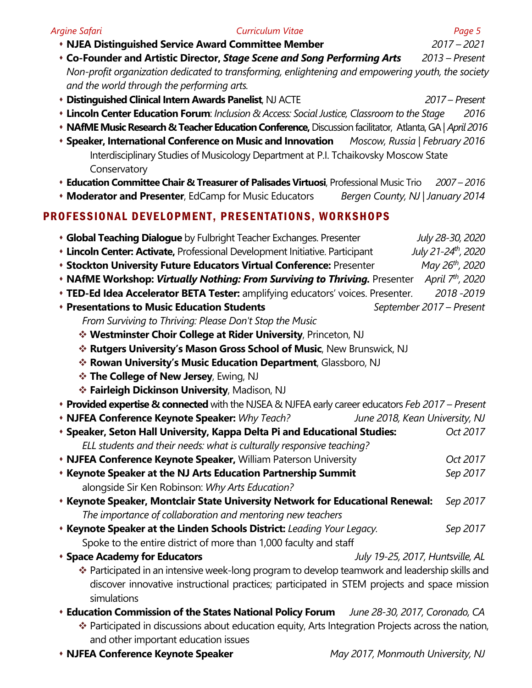| Argine Safari                                                   | <b>Curriculum Vitae</b>                                                                                                                                                                        | Page 5                           |
|-----------------------------------------------------------------|------------------------------------------------------------------------------------------------------------------------------------------------------------------------------------------------|----------------------------------|
|                                                                 | <b>• NJEA Distinguished Service Award Committee Member</b>                                                                                                                                     | $2017 - 2021$                    |
|                                                                 | <b>Co-Founder and Artistic Director, Stage Scene and Song Performing Arts</b> 2013 – Present                                                                                                   |                                  |
| and the world through the performing arts.                      | Non-profit organization dedicated to transforming, enlightening and empowering youth, the society                                                                                              |                                  |
| <b>• Distinguished Clinical Intern Awards Panelist, NJ ACTE</b> |                                                                                                                                                                                                | 2017 – Present                   |
|                                                                 | <b>• Lincoln Center Education Forum: Inclusion &amp; Access: Social Justice, Classroom to the Stage</b>                                                                                        | 2016                             |
|                                                                 | • NAfME Music Research & Teacher Education Conference, Discussion facilitator, Atlanta, GA   April 2016                                                                                        |                                  |
|                                                                 | <b>* Speaker, International Conference on Music and Innovation</b>                                                                                                                             | Moscow, Russia   February 2016   |
| Conservatory                                                    | Interdisciplinary Studies of Musicology Department at P.I. Tchaikovsky Moscow State                                                                                                            |                                  |
|                                                                 | <b>Education Committee Chair &amp; Treasurer of Palisades Virtuosi</b> , Professional Music Trio                                                                                               | $2007 - 2016$                    |
|                                                                 | <b>Moderator and Presenter, EdCamp for Music Educators</b><br>Bergen County, NJ   January 2014                                                                                                 |                                  |
|                                                                 | PROFESSIONAL DEVELOPMENT, PRESENTATIONS, WORKSHOPS                                                                                                                                             |                                  |
|                                                                 | <b>Global Teaching Dialogue</b> by Fulbright Teacher Exchanges. Presenter                                                                                                                      | July 28-30, 2020                 |
|                                                                 | <b>Lincoln Center: Activate, Professional Development Initiative. Participant</b>                                                                                                              | July 21-24 <sup>th</sup> , 2020  |
|                                                                 | <b>* Stockton University Future Educators Virtual Conference: Presenter</b>                                                                                                                    | May 26th, 2020                   |
|                                                                 | <b>• NAfME Workshop: Virtually Nothing: From Surviving to Thriving.</b> Presenter April 7 <sup>th</sup> , 2020                                                                                 |                                  |
|                                                                 | <b>TED-Ed Idea Accelerator BETA Tester:</b> amplifying educators' voices. Presenter.                                                                                                           | 2018 - 2019                      |
| <b>◆ Presentations to Music Education Students</b>              |                                                                                                                                                                                                | September 2017 - Present         |
|                                                                 | From Surviving to Thriving: Please Don't Stop the Music                                                                                                                                        |                                  |
|                                                                 | * Westminster Choir College at Rider University, Princeton, NJ                                                                                                                                 |                                  |
|                                                                 | * Rutgers University's Mason Gross School of Music, New Brunswick, NJ                                                                                                                          |                                  |
|                                                                 | * Rowan University's Music Education Department, Glassboro, NJ                                                                                                                                 |                                  |
| * The College of New Jersey, Ewing, NJ                          |                                                                                                                                                                                                |                                  |
| * Fairleigh Dickinson University, Madison, NJ                   |                                                                                                                                                                                                |                                  |
|                                                                 | • Provided expertise & connected with the NJSEA & NJFEA early career educators Feb 2017 - Present                                                                                              |                                  |
| • NJFEA Conference Keynote Speaker: Why Teach?                  |                                                                                                                                                                                                | June 2018, Kean University, NJ   |
|                                                                 | * Speaker, Seton Hall University, Kappa Delta Pi and Educational Studies:                                                                                                                      | Oct 2017                         |
|                                                                 | ELL students and their needs: what is culturally responsive teaching?                                                                                                                          |                                  |
|                                                                 | • NJFEA Conference Keynote Speaker, William Paterson University                                                                                                                                | Oct 2017                         |
|                                                                 | <b>* Keynote Speaker at the NJ Arts Education Partnership Summit</b>                                                                                                                           | Sep 2017                         |
|                                                                 | alongside Sir Ken Robinson: Why Arts Education?                                                                                                                                                |                                  |
|                                                                 | <b>* Keynote Speaker, Montclair State University Network for Educational Renewal:</b>                                                                                                          | Sep 2017                         |
|                                                                 | The importance of collaboration and mentoring new teachers                                                                                                                                     |                                  |
|                                                                 | <b>* Keynote Speaker at the Linden Schools District:</b> Leading Your Legacy.                                                                                                                  | Sep 2017                         |
|                                                                 | Spoke to the entire district of more than 1,000 faculty and staff                                                                                                                              |                                  |
| <b>* Space Academy for Educators</b>                            |                                                                                                                                                                                                | July 19-25, 2017, Huntsville, AL |
| simulations                                                     | ❖ Participated in an intensive week-long program to develop teamwork and leadership skills and<br>discover innovative instructional practices; participated in STEM projects and space mission |                                  |
|                                                                 | <b>Education Commission of the States National Policy Forum</b>                                                                                                                                | June 28-30, 2017, Coronado, CA   |
| and other important education issues                            | * Participated in discussions about education equity, Arts Integration Projects across the nation,                                                                                             |                                  |

s **NJFEA Conference Keynote Speaker** *May 2017, Monmouth University, NJ*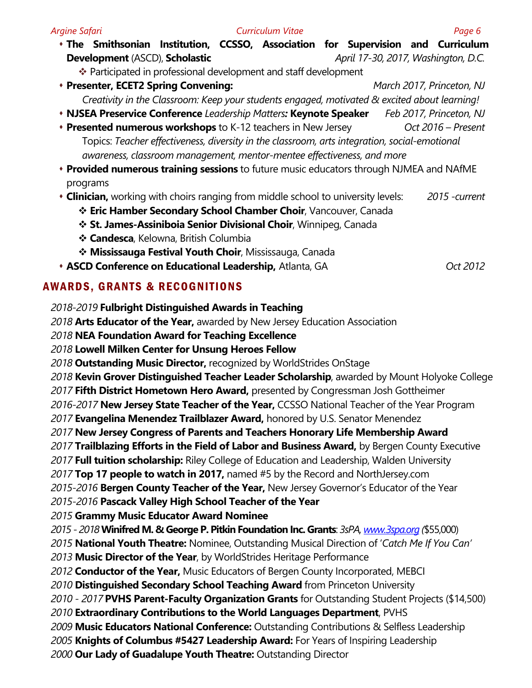| Argine Safari                                                                                 |                                                                                                |  |  | Curriculum Vitae |                                     | Page 6                    |
|-----------------------------------------------------------------------------------------------|------------------------------------------------------------------------------------------------|--|--|------------------|-------------------------------------|---------------------------|
|                                                                                               | * The Smithsonian Institution, CCSSO, Association for Supervision and Curriculum               |  |  |                  |                                     |                           |
|                                                                                               | <b>Development (ASCD), Scholastic</b>                                                          |  |  |                  | April 17-30, 2017, Washington, D.C. |                           |
| ❖ Participated in professional development and staff development                              |                                                                                                |  |  |                  |                                     |                           |
|                                                                                               | * Presenter, ECET2 Spring Convening:                                                           |  |  |                  |                                     | March 2017, Princeton, NJ |
|                                                                                               | Creativity in the Classroom: Keep your students engaged, motivated & excited about learning!   |  |  |                  |                                     |                           |
|                                                                                               | • NJSEA Preservice Conference Leadership Matters: Keynote Speaker                              |  |  |                  |                                     | Feb 2017, Princeton, NJ   |
|                                                                                               | <b>* Presented numerous workshops</b> to K-12 teachers in New Jersey                           |  |  |                  |                                     | Oct 2016 - Present        |
| Topics: Teacher effectiveness, diversity in the classroom, arts integration, social-emotional |                                                                                                |  |  |                  |                                     |                           |
|                                                                                               | awareness, classroom management, mentor-mentee effectiveness, and more                         |  |  |                  |                                     |                           |
|                                                                                               | <b>• Provided numerous training sessions</b> to future music educators through NJMEA and NAfME |  |  |                  |                                     |                           |

- programs
- s **Clinician,** working with choirs ranging from middle school to university levels: *2015 -current*
	- v **Eric Hamber Secondary School Chamber Choir**, Vancouver, Canada
	- **St. James-Assiniboia Senior Divisional Choir**, Winnipeg, Canada
	- v **Candesca**, Kelowna, British Columbia
	- v **Mississauga Festival Youth Choir**, Mississauga, Canada
- s **ASCD Conference on Educational Leadership,** Atlanta, GA *Oct 2012*

## AWARDS, GRANTS & RECOGNITIONS

*2018-2019* **Fulbright Distinguished Awards in Teaching**

*2018* **Arts Educator of the Year,** awarded by New Jersey Education Association

*2018* **NEA Foundation Award for Teaching Excellence**

*2018* **Lowell Milken Center for Unsung Heroes Fellow**

*2018* **Outstanding Music Director,** recognized by WorldStrides OnStage

*2018* **Kevin Grover Distinguished Teacher Leader Scholarship**, awarded by Mount Holyoke College *2017* **Fifth District Hometown Hero Award,** presented by Congressman Josh Gottheimer

*2016-2017* **New Jersey State Teacher of the Year,** CCSSO National Teacher of the Year Program

*2017* **Evangelina Menendez Trailblazer Award,** honored by U.S. Senator Menendez

*2017* **New Jersey Congress of Parents and Teachers Honorary Life Membership Award**

*2017* **Trailblazing Efforts in the Field of Labor and Business Award,** by Bergen County Executive

*2017* **Full tuition scholarship:** Riley College of Education and Leadership, Walden University

*2017* **Top 17 people to watch in 2017,** named #5 by the Record and NorthJersey.com

*2015-2016* **Bergen County Teacher of the Year,** New Jersey Governor's Educator of the Year

*2015-2016* **Pascack Valley High School Teacher of the Year**

*2015* **Grammy Music Educator Award Nominee** 

*2015 - 2018***Winifred M. & George P. Pitkin Foundation Inc. Grants**: *3sPA, www.3spa.org (*\$55,000)

*2015* **National Youth Theatre:** Nominee, Outstanding Musical Direction of '*Catch Me If You Can'*

*2013* **Music Director of the Year**, by WorldStrides Heritage Performance

*2012* **Conductor of the Year,** Music Educators of Bergen County Incorporated, MEBCI

*2010* **Distinguished Secondary School Teaching Award** from Princeton University

*2010 - 2017* **PVHS Parent-Faculty Organization Grants** for Outstanding Student Projects (\$14,500)

*2010* **Extraordinary Contributions to the World Languages Department**, PVHS

*2009* **Music Educators National Conference:** Outstanding Contributions & Selfless Leadership

*2005* **Knights of Columbus #5427 Leadership Award:** For Years of Inspiring Leadership

*2000* **Our Lady of Guadalupe Youth Theatre:** Outstanding Director